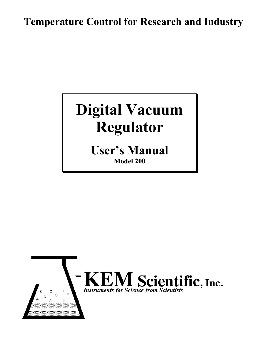## **Temperature Control for Research and Industry**

# **Digital Vacuum Regulator**

**User's Manual Model 200**

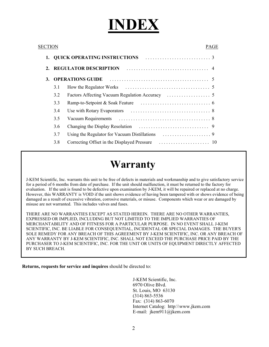# **INDEX**

| SECTIO<br>PAGE |         |                                     |                                             |  |    |  |
|----------------|---------|-------------------------------------|---------------------------------------------|--|----|--|
|                | 1.      | <b>QUICK OPERATING INSTRUCTIONS</b> |                                             |  |    |  |
|                | $2_{-}$ |                                     | <b>REGULATOR DESCRIPTION</b>                |  |    |  |
|                | 3.      |                                     | <b>OPERATIONS GUIDE</b>                     |  |    |  |
|                |         | 3.1                                 |                                             |  |    |  |
|                |         | 3.2                                 |                                             |  |    |  |
|                |         | 3.3                                 |                                             |  |    |  |
|                |         | 3.4                                 |                                             |  |    |  |
|                |         | 3.5                                 |                                             |  |    |  |
|                |         | 3.6                                 |                                             |  |    |  |
|                |         | 3.7                                 |                                             |  |    |  |
|                |         | 3.8                                 | Correcting Offset in the Displayed Pressure |  | 10 |  |
|                |         |                                     |                                             |  |    |  |

## **Warranty**

J-KEM Scientific, Inc. warrants this unit to be free of defects in materials and workmanship and to give satisfactory service for a period of 6 months from date of purchase. If the unit should malfunction, it must be returned to the factory for evaluation. If the unit is found to be defective upon examination by J-KEM, it will be repaired or replaced at no charge. However, this WARRANTY is VOID if the unit shows evidence of having been tampered with or shows evidence of being damaged as a result of excessive vibration, corrosive materials, or misuse. Components which wear or are damaged by misuse are not warranted. This includes valves and fuses.

THERE ARE NO WARRANTIES EXCEPT AS STATED HEREIN. THERE ARE NO OTHER WARRANTIES, EXPRESSED OR IMPLIED, INCLUDING BUT NOT LIMITED TO THE IMPLIED WARRANTIES OF MERCHANTABILITY AND OF FITNESS FOR A PARTICULAR PURPOSE. IN NO EVENT SHALL J-KEM SCIENTIFIC, INC. BE LIABLE FOR CONSEQUENTIAL, INCIDENTAL OR SPECIAL DAMAGES. THE BUYER'S SOLE REMEDY FOR ANY BREACH OF THIS AGREEMENT BY J-KEM SCIENTIFIC, INC. OR ANY BREACH OF ANY WARRANTY BY J-KEM SCIENTIFIC, INC. SHALL NOT EXCEED THE PURCHASE PRICE PAID BY THE PURCHASER TO J-KEM SCIENTIFIC, INC. FOR THE UNIT OR UNITS OF EQUIPMENT DIRECTLY AFFECTED BY SUCH BREACH.

**Returns, requests for service and inquires** should be directed to:

J-KEM Scientific, Inc. 6970 Olive Blvd. St. Louis, MO 63130 (314) 863-5536 Fax: (314) 863-6070 Internet Catalog: http:\\www.jkem.com E-mail: jkem911@jkem.com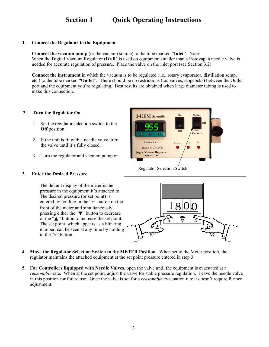## **Section 1 Quick Operating Instructions**

#### **1. Connect the Regulator to the Equipment**

**Connect the vacuum pump** (or the vacuum source) to the tube marked "**Inlet**". Note: When the Digital Vacuum Regulator (DVR) is used on equipment smaller than a Rotovap, a needle valve is needed for accurate regulation of pressure. Place the valve on the inlet port (see Section 3.2).

**Connect the instrument** in which the vacuum is to be regulated (i.e., rotary evaporator, distillation setup, etc.) to the tube marked "**Outlet**". There should be no restrictions (i.e. valves, stopcocks) between the Outlet port and the equipment you're regulating. Best results are obtained when large diameter tubing is used to make this connection.

#### **2. Turn the Regulator On**

- 1. Set the regulator selection switch to the **Off** position.
- 2. If the unit is fit with a needle valve, turn the valve until it's fully closed.
- 3. Turn the regulator and vacuum pump on.

#### **3. Enter the Desired Pressure.**

The default display of the meter is the pressure in the equipment it's attached to. The desired pressure (or set point) is entered by holding in the "\*" button on the front of the meter and simultaneously pressing either the "▼" button to decrease or the "▲" button to increase the set point. The set point, which appears as a blinking number, can be seen at any time by holding in the "\*" button.



Regulator Selection Switch



- **4. Move the Regulator Selection Switch to the METER Position.** When set to the Meter position, the regulator maintains the attached equipment at the set point pressure entered in step 3.
- **5. For Controllers Equipped with Needle Valves,** open the valve until the equipment is evacuated at a *reasonable* rate. When at the set point, adjust the valve for stable pressure regulation. Leave the needle valve in this position for future use. Once the valve is set for a *reasonable* evacuation rate it doesn't require further adjustment.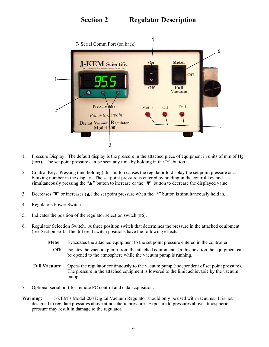## **Section 2 Regulator Description**



- 1. Pressure Display. The default display is the pressure in the attached piece of equipment in units of mm of Hg (torr). The set point pressure can be seen any time by holding in the  $\cdot\cdot\cdot$ " button.
- 2. Control Key. Pressing (and holding) this button causes the regulator to display the set point pressure as a blinking number in the display. The set point pressure is entered by holding in the control key and simultaneously pressing the "<sup>△</sup>" button to increase or the "▼" button to decrease the displayed value.
- 3. Decreases ( $\nabla$ ) or increases ( $\triangle$ ) the set point pressure when the "\*" button is simultaneously held in.
- 4. Regulators Power Switch.
- 5. Indicates the position of the regulator selection switch (#6).
- 6. Regulator Selection Switch. A three position switch that determines the pressure in the attached equipment (see Section 3.6). The different switch positions have the following effects:
	- **Meter**: Evacuates the attached equipment to the set point pressure entered in the controller.
		- **Off:** Isolates the vacuum pump from the attached equipment. In this position the equipment can be opened to the atmosphere while the vacuum pump is running.
	- **Full Vacuum:** Opens the regulator continuously to the vacuum pump (independent of set point pressure). The pressure in the attached equipment is lowered to the limit achievable by the vacuum pump.
- 7. Optional serial port for remote PC control and data acquisition.
- **Warning:** J-KEM's Model 200 Digital Vacuum Regulator should only be used with vacuums. It is not designed to regulate pressures above atmospheric pressure. Exposure to pressures above atmospheric pressure may result in damage to the regulator.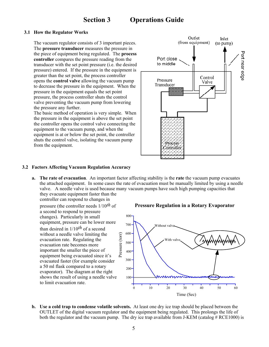## **Section 3 Operations Guide**

#### **3.1 How the Regulator Works**

 The vacuum regulator consists of 3 important pieces. The **pressure transducer** measures the pressure in the piece of equipment being regulated. The **process controller** compares the pressure reading from the transducer with the set point pressure (i.e. the desired pressure) entered. If the pressure in the equipment is greater than the set point, the process controller opens the **control valve** allowing the vacuum pump to decrease the pressure in the equipment. When the pressure in the equipment equals the set point pressure, the process controller shuts the control valve preventing the vacuum pump from lowering the pressure any further.

 The basic method of operation is very simple. When the pressure in the equipment is above the set point the controller opens the control valve connecting the equipment to the vacuum pump, and when the equipment is at or below the set point, the controller shuts the control valve, isolating the vacuum pump from the equipment.



#### **3.2 Factors Affecting Vacuum Regulation Accuracy**

**a. The rate of evacuation**. An important factor affecting stability is the **rate** the vacuum pump evacuates the attached equipment. In some cases the rate of evacuation must be manually limited by using a needle valve. A needle valve is used because many vacuum pumps have such high pumping capacities that they evacuate equipment faster than the

controller can respond to changes in

pressure (the controller needs 1/10*th* of a second to respond to pressure changes). Particularly in small equipment, pressure can be lower more than desired in 1/10*th* of a second without a needle valve limiting the evacuation rate. Regulating the evacuation rate becomes more important the smaller the piece of equipment being evacuated since it's evacuated faster (for example consider a 50 ml flask compared to a rotary evaporator). The diagram at the right shows the result of using a needle valve to limit evacuation rate.

#### **Pressure Regulation in a Rotary Evaporator**



**b. Use a cold trap to condense volatile solvents.** At least one dry ice trap should be placed between the OUTLET of the digital vacuum regulator and the equipment being regulated. This prolongs the life of both the regulator and the vacuum pump. The dry ice trap available from J-KEM (catalog  $#$  RCE1000) is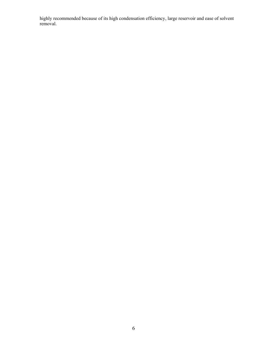highly recommended because of its high condensation efficiency, large reservoir and ease of solvent removal.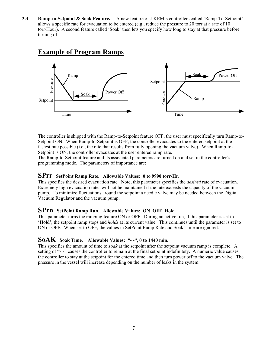**3.3 Ramp-to-Setpoint & Soak Feature.** A new feature of J-KEM's controllers called 'Ramp-To-Setpoint' allows a specific rate for evacuation to be entered (e.g., reduce the pressure to 20 torr at a rate of 10 torr/Hour). A second feature called 'Soak' then lets you specify how long to stay at that pressure before turning off.

### **Example of Program Ramps**



 The controller is shipped with the Ramp-to-Setpoint feature OFF, the user must specifically turn Ramp-to-Setpoint ON. When Ramp-to-Setpoint is OFF, the controller evacuates to the entered setpoint at the fastest rate possible (i.e., the rate that results from fully opening the vacuum valve). When Ramp-to-Setpoint is ON, the controller evacuates at the user entered ramp rate.

 The Ramp-to-Setpoint feature and its associated parameters are turned on and set in the controller's programming mode. The parameters of importance are:

#### **SPrr SetPoint Ramp Rate. Allowable Values: 0 to 9990 torr/Hr.**

This specifies the desired evacuation rate. Note, this parameter specifies the *desired* rate of evacuation. Extremely high evacuation rates will not be maintained if the rate exceeds the capacity of the vacuum pump. To minimize fluctuations around the setpoint a needle valve may be needed between the Digital Vacuum Regulator and the vacuum pump.

#### **SPrn SetPoint Ramp Run. Allowable Values: ON, OFF, Hold**

This parameter turns the ramping feature ON or OFF. During an active run, if this parameter is set to '**Hold**', the setpoint ramp stops and *holds* at its current value. This continues until the parameter is set to ON or OFF. When set to OFF, the values in SetPoint Ramp Rate and Soak Time are ignored.

#### **SoAK Soak Time. Allowable Values: "- -", 0 to 1440 min.**

This specifies the amount of time to *soak* at the setpoint after the setpoint vacuum ramp is complete. A setting of **"- -"** causes the controller to remain at the final setpoint indefinitely. A numeric value causes the controller to stay at the setpoint for the entered time and then turn power off to the vacuum valve. The pressure in the vessel will increase depending on the number of leaks in the system.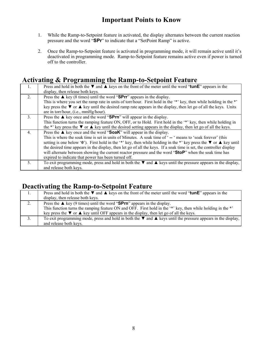## **Important Points to Know**

- 1. While the Ramp-to-Setpoint feature in activated, the display alternates between the current reaction pressure and the word "**SPr**" to indicate that a "SetPoint Ramp" is active.
- 2. Once the Ramp-to-Setpoint feature is activated in programming mode, it will remain active until it's deactivated in programming mode. Ramp-to-Setpoint feature remains active even if power is turned off to the controller.

### **Activating & Programming the Ramp-to-Setpoint Feature**

| $\mathbf{1}$ . | Press and hold in both the $\nabla$ and $\triangle$ keys on the front of the meter until the word "tunE" appears in the<br>display, then release both keys.                                                                                                                                                                                                                                                                                                                                                                                                                                                                                 |
|----------------|---------------------------------------------------------------------------------------------------------------------------------------------------------------------------------------------------------------------------------------------------------------------------------------------------------------------------------------------------------------------------------------------------------------------------------------------------------------------------------------------------------------------------------------------------------------------------------------------------------------------------------------------|
| 2 <sub>1</sub> | Press the $\triangle$ key (8 times) until the word "SPrr" appears in the display.<br>This is where you set the ramp rate in units of torr/hour. First hold in the '*' key, then while holding in the *'<br>key press the $\blacktriangledown$ or $\blacktriangle$ key until the desired ramp rate appears in the display, then let go of all the keys. Units<br>are in torr/hour, (i.e., mmHg/hour).                                                                                                                                                                                                                                        |
| $\mathcal{E}$  | Press the $\triangle$ key once and the word "SPrn" will appear in the display.<br>This function turns the ramping feature ON, OFF, or to Hold. First hold in the '*' key, then while holding in<br>the *' key press the $\blacktriangledown$ or $\blacktriangle$ key until the desired setting appears in the display, then let go of all the keys.                                                                                                                                                                                                                                                                                         |
| $\mathbf{4}$ . | Press the $\triangle$ key once and the word "SoaK" will appear in the display.<br>This is where the soak time is set in units of Minutes. A soak time of '-- ' means to 'soak forever' (this<br>setting is one below '0'). First hold in the '*' key, then while holding in the *' key press the $\blacktriangledown$ or $\blacktriangle$ key until<br>the desired time appears in the display, then let go of all the keys. If a soak time is set, the controller display<br>will alternate between showing the current reactor pressure and the word "StoP" when the soak time has<br>expired to indicate that power has been turned off. |
| 5              | To exit programming mode, press and hold in both the $\nabla$ and $\blacktriangle$ keys until the pressure appears in the display,<br>and release both keys.                                                                                                                                                                                                                                                                                                                                                                                                                                                                                |

## **Deactivating the Ramp-to-Setpoint Feature**

|    | Press and hold in both the $\nabla$ and $\triangle$ keys on the front of the meter until the word "tunE" appears in the       |
|----|-------------------------------------------------------------------------------------------------------------------------------|
|    | display, then release both keys.                                                                                              |
| 2. | Press the $\triangle$ key (9 times) until the word "SPrn" appears in the display.                                             |
|    | This function turns the ramping feature ON and OFF. First hold in the '*' key, then while holding in the *'                   |
|    | key press the $\nabla$ or $\triangle$ key until OFF appears in the display, then let go of all the keys.                      |
| 3. | To exit programming mode, press and hold in both the $\nabla$ and $\triangle$ keys until the pressure appears in the display, |
|    | and release both keys.                                                                                                        |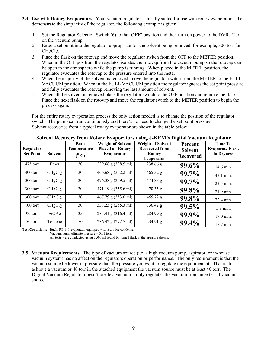- **3.4 Use with Rotary Evaporators.** Your vacuum regulator is ideally suited for use with rotary evaporators. To demonstrate the simplicity of the regulator, the following example is given.
	- 1. Set the Regulator Selection Switch (6) to the '**OFF**' position and then turn on power to the DVR. Turn on the vacuum pump.
	- 2. Enter a set point into the regulator appropriate for the solvent being removed, for example, 300 torr for CH<sub>2</sub>Cl<sub>2</sub>.
	- 3. Place the flask on the rotovap and move the regulator switch from the OFF to the METER position. When in the OFF position, the regulator isolates the rotovap from the vacuum pump so the rotovap can be open to the atmosphere while the pump is running. When placed in the METER position, the regulator evacuates the rotovap to the pressure entered into the meter.
	- 4. When the majority of the solvent is removed, move the regulator switch from the METER to the FULL VACUUM position. When in the FULL VACUUM position the regulator ignores the set point pressure and fully evacuates the rotovap removing the last amount of solvent.
	- 5. When all the solvent is removed place the regulator switch to the OFF position and remove the flask. Place the next flask on the rotovap and move the regulator switch to the METER position to begin the process again.

 For the entire rotary evaporation process the only action needed is to change the position of the regulator switch. The pump can run continuously and there's no need to change the set point pressure. Solvent recoveries from a typical rotary evaporator are shown in the table below.

| Regulator<br><b>Set Point</b> | Solvent                         | Bath<br>Temperature<br>$(^0C)$ | <b>Weight of Solvent</b><br><b>Placed on Rotary</b><br>Evaporator | <b>Weight of Solvent</b><br><b>Recovered from</b><br>Rotary<br>Evaporator | Percent<br><b>Solvent</b><br><b>Recovered</b> | <b>Time To</b><br><b>Evaporate Flask</b><br>to Dryness |
|-------------------------------|---------------------------------|--------------------------------|-------------------------------------------------------------------|---------------------------------------------------------------------------|-----------------------------------------------|--------------------------------------------------------|
| 475 torr                      | Ether                           | 30                             | 239.68 g (338.5 ml)                                               | 238.66 g                                                                  | 99.6%                                         | 14.6 min.                                              |
| 400 torr                      | CH <sub>2</sub> Cl <sub>2</sub> | 30                             | 466.68 g (352.2 ml)                                               | $465.32$ g                                                                | 99.7%                                         | 43.1 min.                                              |
| 300 torr                      | CH <sub>2</sub> Cl <sub>2</sub> | 30                             | 476.38 g (359.5 ml)                                               | 474.88 g                                                                  | 99.7%                                         | 22.5 min.                                              |
| $300$ torr                    | CH <sub>2</sub> Cl <sub>2</sub> | 30                             | 471.19 g (355.6 ml)                                               | $470.35$ g                                                                | 99.8%                                         | 21.9 min.                                              |
| 300 torr                      | CH <sub>2</sub> Cl <sub>2</sub> | 30                             | 467.79 g (353.0 ml)                                               | $465.72$ g                                                                | 99.8%                                         | 22.4 min.                                              |
| $100$ torr                    | CH <sub>2</sub> Cl <sub>2</sub> | 30                             | 338.23 g (255.3 ml)                                               | 336.42 g                                                                  | $99.5\%$                                      | 5.9 min.                                               |
| 90 torr                       | EtOAc                           | 35                             | 285.41 g (316.4 ml)                                               | 284.99 g                                                                  | 99.9%                                         | 17.0 min.                                              |
| 50 torr                       | Toluene                         | 50                             | 236.42 g (272.7 ml)                                               | 234.91 g                                                                  | 99.4%                                         | 15.7 min.                                              |

**Solvent Recovery from Rotary Evaporators using J-KEM's Digital Vacuum Regulator** 

**Test Conditions:** Buchi RE 111 evaporator equipped with a dry ice condenser.

Vacuum pump ultimate pressure = 0.01 torr.

All tests were conducted using a 500 ml round bottomed flask at the pressure shown.

**3.5 Vacuum Requirements.** The type of vacuum source (i.e. a high vacuum pump, aspirator, or in-house vacuum system) has no affect on the regulators operation or performance. The only requirement is that the vacuum source be lower in pressure than the pressure you want to regulate the equipment at. That is, to achieve a vacuum or 40 torr in the attached equipment the vacuum source must be at least 40 torr. The Digital Vacuum Regulator doesn't create a vacuum it only regulates the vacuum from an external vacuum source.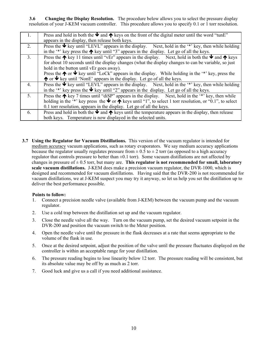**3.6 Changing the Display Resolution.** The procedure below allows you to select the pressure display resolution of your J-KEM vacuum controller. This procedure allows you to specify 0.1 or 1 torr resolution.

| $\mathbf{1}$ .   | Press and hold in both the $\blacktriangleright$ and $\blacklozenge$ keys on the front of the digital meter until the word "tunE"          |
|------------------|--------------------------------------------------------------------------------------------------------------------------------------------|
|                  | appears in the display, then release both keys.                                                                                            |
| 2.               | Press the $\blacklozenge$ key until "LEVL" appears in the display. Next, hold in the '*' key, then while holding                           |
|                  | in the '*' key press the $\bigwedge$ key until "3" appears in the display. Let go of all the keys.                                         |
| 3 <sub>1</sub>   | Press the $\bigwedge$ key 11 times until "vEr" appears in the display. Next, hold in both the $\Psi$ and $\bigwedge$ keys                  |
|                  | for about 10 seconds until the display changes (what the display changes to can be variable, so just                                       |
|                  | hold in the button until vEr goes away).                                                                                                   |
|                  | Press the $\spadesuit$ or $\blacktriangleright$ key until "LoCk" appears in the display. While holding in the '*' key, press the           |
|                  | $\uparrow$ or $\uparrow$ key until 'NonE' appears in the display. Let go of all the keys.                                                  |
| $\overline{4}$ . | Press the $\blacklozenge$ key until "LEVL" appears in the display. Next, hold in the '*' key, then while holding                           |
|                  | in the '*' key press the $\blacklozenge$ key until "2" appears in the display. Let go of all the keys.                                     |
| 5 <sub>1</sub>   | Press the $\bigwedge$ key 7 times until "disp" appears in the display. Next, hold in the '*' key, then while                               |
|                  | holding in the '*' key press the $\blacktriangleright$ or $\blacklozenge$ keys until "1", to select 1 torr resolution, or "0.1", to select |
|                  | 0.1 torr resolution, appears in the display. Let go of all the keys.                                                                       |
| 6.               | Press and hold in both the $\blacktriangleright$ and $\blacklozenge$ keys until the temperature appears in the display, then release       |
|                  | both keys. Temperature is now displayed in the selected units.                                                                             |

**3.7 Using the Regulator for Vacuum Distillations.** This version of the vacuum regulator is intended for medium accuracy vacuum applications, such as rotary evaporators. We say medium accuracy applications because the regulator usually regulates pressure from  $\pm$  0.5 to  $\pm$  2 torr (as opposed to a high accuracy regulator that controls pressure to better than ±0.1 torr). Some vacuum distillations are not affected by changes in pressure of  $\pm$  0.5 torr, but many are. **This regulator is not recommended for small, laboratory scale vacuum distillations.** J-KEM does make a precision vacuum regulator, the DVR-1000, which is designed and recommended for vacuum distillations. Having said that the DVR-200 is not recommended for vacuum distillations, we at J-KEM suspect you may try it anyway, so let us help you set the distillation up to deliver the best performance possible.

#### **Points to follow:**

- 1. Connect a precision needle valve (available from J-KEM) between the vacuum pump and the vacuum regulator.
- 2. Use a cold trap between the distillation set up and the vacuum regulator.
- 3. Close the needle valve all the way. Turn on the vacuum pump, set the desired vacuum setpoint in the DVR-200 and position the vacuum switch to the Meter position.
- 4. Open the needle valve until the pressure in the flask decreases at a rate that seems appropriate to the volume of the flask in use.
- 5. Once at the desired setpoint, adjust the position of the valve until the pressure fluctuates displayed on the controller is within an acceptable range for your distillation.
- 6. The pressure reading begins to lose linearity below 12 torr. The pressure reading will be consistent, but its absolute value may be off by as much as 2 torr.
- 7. Good luck and give us a call if you need additional assistance.